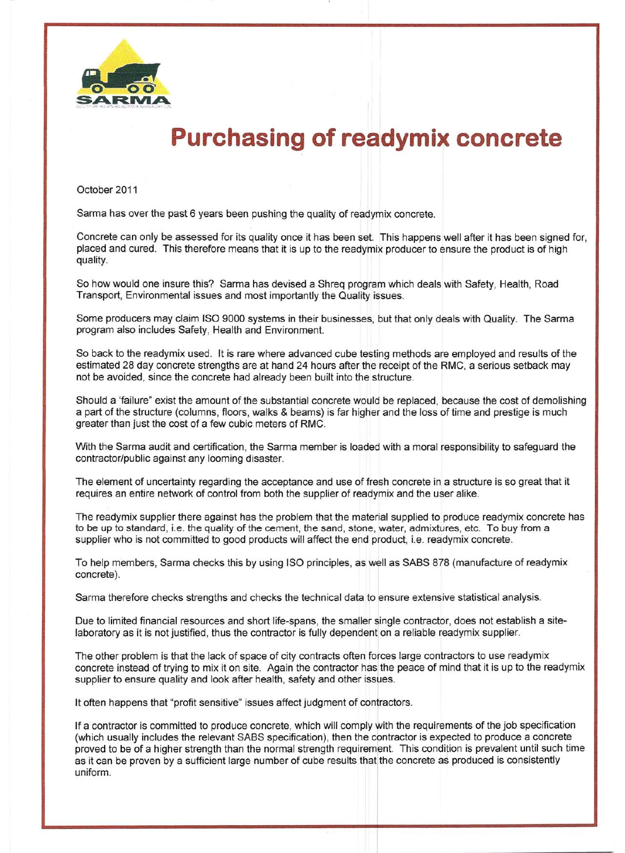

## **Purchasing of readymix concrete**

October 2011

Sarma has over the past 6 years been pushing the quality of readymix concrete.

Concrete can only be assessed for its quality once it has been set. This happens well after it has been signed for, placed and cured. This therefore means that it is up to the readymix producer to ensure the product is of high quality.

So how would one insure this? Sarma has devised a Shreq program which deals with Safety, Health, Road Transport, Environmental issues and most importantly the Quality issues.

Some producers may claim ISO 9000 systems in their businesses, but that only deals with Quality. The Sarma program also includes Safety, Health and Environment

So back to the readymix used. It is rare where advanced cube testing methods are employed and results of the estimated 28 day concrete strengths are at hand 24 hours after the receipt of the RMC, a serious setback may not be avoided, since the concrete had already been built into the structure.

Should a 'failure" exist the amount of the substantial concrete would be replaced, because the cost of demolishing a part of the structure (columns, floors, walks & beams) is far higher and the loss of time and prestige is much greater than just the cost of a few cubic meters of RMC.

With the Sarma audit and certification, the Sarma member is loaded with a moral responsibility to safeguard the contractor/public against any looming disaster.

The element of uncertainty regarding the acceptance and use of fresh concrete in a structure is so great that it requires an entire network of control from both the supplier of readymix and the user alike.

The readymix supplier there against has the problem that the material supplied to produce readymix concrete has to be up to standard, i.e. the quality of the cement, the sand, stone, water, admixtures, etc. To buy from a supplier who is not committed to good products will affect the end product, i.e. readymix concrete.

To help members, Sarma checks this by using ISO principles, as well as SABS 878 (manufacture of readymix concrete).

Sarma therefore checks strengths and checks the technical data to ensure extensive statistical analysis.

Due to limited financial resources and short life-spans, the smaller single contractor, does not establish a sitelaboratory as it is not justified, thus the contractor is fully dependent on a reliable readymix supplier.

The other problem is that the lack of space of city contracts often forces large contractors to use readymix concrete instead of trying to mix it on site. Again the contractor has the peace of mind that it is up to the readymix supplier to ensure quality and look after health, safety and other issues.

It often happens that "profit sensitive" issues affect judgment of contractors.

If a contractor is committed to produce concrete, which will comply with the requirements of the job specification (which usually includes the relevant SABS specification), then the cbntractor is expected to produce a concrete proved to be of a higher strength than the normal strength requirement. This condirion is prevalent until such time as it can be proven by a sufficient large number of cube results that the concrete as produced is consistently uniform.